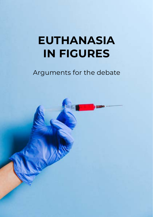# **EUTHANASIA IN FIGURES**

# Arguments for the debate

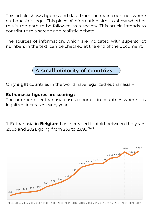This article shows figures and data from the main countries where euthanasia is legal. This piece of information aims to show whether this is the path to be followed as a society. This article intends to contribute to a serene and realistic debate.

The sources of information, which are indicated with superscript numbers in the text, can be checked at the end of the document.



Only **eight** countries in the world have legalized euthanasia.<sup>1,2</sup>

#### **Euthanasia figures are soaring :**

The number of euthanasia cases reported in countries where it is legalized increases every year:

1. Euthanasia in **Belgium** has increased tenfold between the years 2003 and 2021, going from 235 to 2,699.<sup>3,4,5</sup>



2003 2004 2005 2006 2007 2008 2009 2010 2011 2012 2013 2014 2015 2016 2017 2018 2019 2020 2021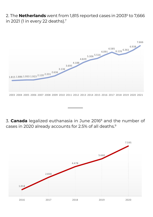2. The **Netherlands** went from 1,815 reported cases in 2003<sup>6</sup> to 7,666 in 2021 (1 in every 22 deaths).7



3. **Canada** legalized euthanasia in June 20168 and the number of cases in 2020 already accounts for 2.5% of all deaths.9

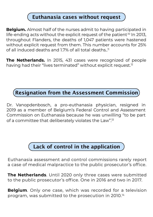### **Euthanasia cases without request**

**Belgium.** Almost half of the nurses admit to having participated in life-ending acts without the explicit request of the patient<sup>10</sup> In 2013. throughout Flanders, the deaths of 1,047 patients were hastened without explicit request from them. This number accounts for 25% of all induced deaths and  $17\%$  of all total deaths.<sup>11</sup>

**The Netherlands.** In 2015, 431 cases were recognized of people having had their "lives terminated" without explicit request.<sup>12</sup>

## **Resignation from the Assessment Commission**

Dr. Vanopdenbosch, a pro-euthanasia physician, resigned in 2019 as a member of Belgium's Federal Control and Assessment Commission on Euthanasia because he was unwilling "to be part of a committee that deliberately violates the Law".13

# **Lack of control in the application**

Euthanasia assessment and control commissions rarely report a case of medical malpractice to the public prosecutor's office.

**The Netherlands**. Until 2020 only three cases were submitted to the public prosecutor's office. One in 2016 and two in 2017.

**Belgium**. Only one case, which was recorded for a television program, was submitted to the prosecution in 2010.14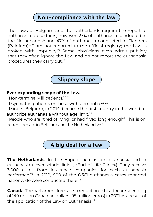## **Non-compliance with the law**

The Laws of Belgium and the Netherlands require the report of euthanasia procedures, however, 23% of euthanasia conducted in the Netherlands<sup>15</sup> and 47% of euthanasia conducted in Flanders (Belgium)16,17 are not reported to the official registry; the Law is broken with impunity.18 Some physicians even admit publicly that they often ignore the Law and do not report the euthanasia procedures they carry out.19



#### **Ever expanding scope of the Law.**

- · Non-terminally ill patients.20, 21
- · Psychiatric patients or those with dementia.22, 23
- · Minors. Belgium, in 2014, became the first country in the world to authorize euthanasia without age limit.<sup>24</sup>
- · People who are "tired of living" or had "lived long enough". This is on current debate in Belgium and the Netherlands.25, 26



**The Netherlands**. In The Hague there is a clinic specialized in euthanasia (Levenseindekliniek, «End of Life Clinic»). They receive 3,000 euros from insurance companies for each euthanasia performed.27 In 2019, 900 of the 6,361 euthanasia cases reported nationwide were conducted there.28

**Canada**. The parliament forecasts a reduction in healthcare spending of 149 million Canadian dollars (95 million euros) in 2021 as a result of the application of the Law on Euthanasia.<sup>29</sup>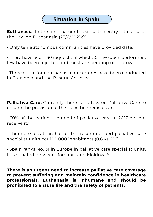## **Situation in Spain**

**Euthanasia**. In the first six months since the entry into force of the Law on Euthanasia (25/6/2021):<sup>30</sup>

• Only ten autonomous communities have provided data.

• There have been 130 requests, of which 50 have been performed, few have been rejected and most are pending of approval.

• Three out of four euthanasia procedures have been conducted in Catalonia and the Basque Country.

**Palliative Care.** Currently there is no Law on Palliative Care to ensure the provision of this specific medical care.

· 60% of the patients in need of palliative care in 2017 did not  $r \in C^{\infty}$ ive it  $31$ 

· There are less than half of the recommended palliative care specialist units per 100,000 inhabitants (0.6 vs. 2).<sup>32</sup>

· Spain ranks No. 31 in Europe in palliative care specialist units. It is situated between Romania and Moldova.32

**There is an urgent need to increase palliative care coverage to prevent suffering and maintain confidence in healthcare professionals. Euthanasia is inhumane and should be prohibited to ensure life and the safety of patients.**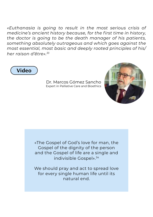*«Euthanasia is going to result in the most serious crisis of medicine's ancient history because, for the first time in history, the doctor is going to be the death manager of his patients, something absolutely outrageous and which goes against the most essential, most basic and deeply rooted principles of his/ her raison d'être». 33*



Dr. Marcos Gómez Sancho Expert in Palliative Care and Bioethics



«The Gospel of God's love for man, the Gospel of the dignity of the person and the Gospel of life are a single and indivisible Gospel».34

We should pray and act to spread love for every single human life until its natural end.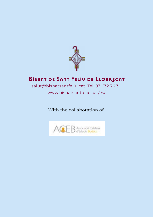

## **Bisbat de Sant Feliu de Llobregat**

## salut@bisbatsantfeliu.cat Tel. 93 632 76 30 www.bisbatsantfeliu.cat/es/

With the collaboration of:

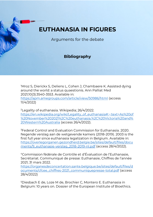## **EUTHANASIA IN FIGURES**

Arguments for the debate

#### **Bibliography**

<sup>1</sup>Mroz S, Dierickx S, Deliens L, Cohen J, Chambaere K. Assisted dying around the world: a status quaestionis. Ann Palliat Med 2021;10(3):3540-3553. Available in: <https://apm.amegroups.com/article/view/50986/html> (access 11/4/2022)

<sup>2</sup>Legality of euthanasia. Wikipedia; 26/4/2022. [https://en.wikipedia.org/wiki/Legality\\_of\\_euthanasia#:~:text=As%20of](https://en.wikipedia.org/wiki/Legality_of_euthanasia#:~:text=As%20of%20November%202021%2C%20euthanasia,%2C%20Victoria%20and%20Western%20Australia) [%20November%202021%2C%20euthanasia,%2C%20Victoria%20and%](https://en.wikipedia.org/wiki/Legality_of_euthanasia#:~:text=As%20of%20November%202021%2C%20euthanasia,%2C%20Victoria%20and%20Western%20Australia) [20Western%20Australia](https://en.wikipedia.org/wiki/Legality_of_euthanasia#:~:text=As%20of%20November%202021%2C%20euthanasia,%2C%20Victoria%20and%20Western%20Australia) (access 26/4/2022).

<sup>3</sup>Federal Control and Evaluation Commission for Euthanasia. 2020. Negende verslag aan de wetgevende kamers (2018-2019). 2003 is the first full year since euthanasia legalization in Belgium. Available in: [https://overlegorganen.gezondheid.belgie.be/sites/default/files/docu](https://overlegorganen.gezondheid.belgie.be/sites/default/files/documents/9_euthanasie-verslag_2018-2019-nl.pdf) [ments/9\\_euthanasie-verslag\\_2018-2019-nl.pdf](https://overlegorganen.gezondheid.belgie.be/sites/default/files/documents/9_euthanasie-verslag_2018-2019-nl.pdf) (access 28/4/2022).

<sup>4</sup>Commission fédérale de Contrôle et d'Évaluation de l'Euthanasie, Secrétariat. Communiqué de presse: Euthanasie, Chiffres de l'année 2021; 31 mars 2022.

[https://organesdeconcertation.sante.belgique.be/sites/default/files/d](https://organesdeconcertation.sante.belgique.be/sites/default/files/documents/cfcee_chiffres-2021_communiquepresse-total.pdf) [ocuments/cfcee\\_chiffres-2021\\_communiquepresse-total.pdf](https://organesdeconcertation.sante.belgique.be/sites/default/files/documents/cfcee_chiffres-2021_communiquepresse-total.pdf) (access 28/4/2022)

<sup>5</sup>Diesbach E de, Loze M de, Brochier C, Montero E. Euthanasia in Belgium: 10 years on. Dossier of the European Institute of Bioethics.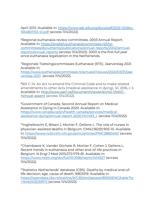April 2012. Available in[: https://www.ieb-eib.org/docs/pdf/2012-10/doc-](https://www.ieb-eib.org/docs/pdf/2012-10/doc-1554801153-41.pdf)[1554801153-41.pdf](https://www.ieb-eib.org/docs/pdf/2012-10/doc-1554801153-41.pdf) (access 11/4/2022).

<sup>6</sup>Regional euthanasia review committees. 2003 Annual Report. Available in[: https://english.euthanasiecommissie.nl/the](https://english.euthanasiecommissie.nl/the-committees/documents/publications/annual-reports/2002/annual-reports/annual-reports)[committees/documents/publications/annual-reports/2002/annual](https://english.euthanasiecommissie.nl/the-committees/documents/publications/annual-reports/2002/annual-reports/annual-reports)[reports/annual-reports](https://english.euthanasiecommissie.nl/the-committees/documents/publications/annual-reports/2002/annual-reports/annual-reports) (access 11/4/2022). 2003 is the first full year since euthanasia legalization in the Netherlands.

<sup>7</sup>Regionale Toetsingscommissies Euthanasie (RTE). Jaarverslag 2021. Available in: [https://www.euthanasiecommissie.nl/actueel/nieuws/2022/03/31/jaar](https://www.euthanasiecommissie.nl/actueel/nieuws/2022/03/31/jaarverslag-2021) [verslag-2021](https://www.euthanasiecommissie.nl/actueel/nieuws/2022/03/31/jaarverslag-2021) (access 11/4/2022).

<sup>8</sup>Bill C-14: An Act to amend the Criminal Code and to make related amendments to other Acts (medical assistance in dying), SC 2016, c 3. Available in: [http://www.parl.ca/DocumentViewer/en/42-1/bill/C-](http://www.parl.ca/DocumentViewer/en/42-1/bill/C-14/royal-assent)[14/royal-assent](http://www.parl.ca/DocumentViewer/en/42-1/bill/C-14/royal-assent) (access 11/4/2022).

<sup>9</sup>Government of Canada. Second Annual Report on Medical Assistance in Dying in Canada 2020. Available in: [https://www.canada.ca/en/health-canada/services/medical](https://www.canada.ca/en/health-canada/services/medical-assistance-dying/annual-report-2020.html#3_1)[assistance-dying/annual-report-2020.html#3\\_1.](https://www.canada.ca/en/health-canada/services/medical-assistance-dying/annual-report-2020.html#3_1) (access 11/4/2022).

<sup>10</sup>Inghelbrecht E, Bilsen J, Mortier F, Deliens L. The role of nurses in physician-assisted deaths in Belgium. CMAJ;182(9):905-10. Available in[: https://www.ncbi.nlm.nih.gov/pmc/articles/PMC2882450/](https://www.ncbi.nlm.nih.gov/pmc/articles/PMC2882450/) (access 11/4/2022).

<sup>11</sup>Chambaere K, Vander Stichele R, Mortier F, Cohen J, Deliens L. Recent trends in euthanasia and other end-of-life practices in Belgium. N Engl J Med 2015;372:1179-81. Available in: <https://www.nejm.org/doi/full/10.1056/nejmc1414527> (access 11/4/2022).

<sup>12</sup>Statistics Netherlands' database (CBS). Deaths by medical end-oflife decision; age, cause of death, 9/8/2019. Available in: [https://opendata.cbs.nl/statline/#/CBS/en/dataset/81655ENG/table?ts](https://opendata.cbs.nl/statline/#/CBS/en/dataset/81655ENG/table?ts=1646003539972) [=1646003539972](https://opendata.cbs.nl/statline/#/CBS/en/dataset/81655ENG/table?ts=1646003539972) (access 11/4/2022).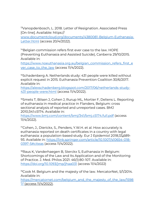<sup>13</sup>Vanopdenbosch, L. 2018. Letter of Resignation. Associated Press [On-line]. Available: https://

[www.documentcloud.org/documents/4380081-Belgium-Euthanasia-](http://www.documentcloud.org/documents/4380081-Belgium-Euthanasia-Letter.html)[Letter.html](http://www.documentcloud.org/documents/4380081-Belgium-Euthanasia-Letter.html) (access 20/4/2022).

<sup>14</sup>Belgian commission refers first ever case to the law. HOPE (Preventing Euthanasia and Assisted Suicide), Canberra 29/10/2015. Available in:

[https://www.noeuthanasia.org.au/belgian\\_commission\\_refers\\_first\\_e](https://www.noeuthanasia.org.au/belgian_commission_refers_first_ever_case_to_the_law) ver case to the law (access  $11/4/2022$ ).

<sup>15</sup>Schadenberg A. Netherlands study: 431 people were killed without explicit request in 2015. Euthanasia Prevention Coalition 30/6/2017. Available in:

[https://alexschadenberg.blogspot.com/2017/06/netherlands-study-](https://alexschadenberg.blogspot.com/2017/06/netherlands-study-431-people-were.html)[431-people-were.html](https://alexschadenberg.blogspot.com/2017/06/netherlands-study-431-people-were.html) (access 11/4/2022).

<sup>16</sup>Smets T, Bilsen J, Cohen J, Rurup ML, Mortier F, Deliens L. Reporting of euthanasia in medical practice in Flanders, Belgium: cross sectional analysis of reported and unreported cases. BMJ 2010;341:c5174. Available in:

<https://www.bmj.com/content/bmj/341/bmj.c5174.full.pdf> (access 11/4/2022).

<sup>17</sup>Cohen, J., Dierickx, S., Penders, Y.W.H. et al. How accurately is euthanasia reported on death certificates in a country with legal euthanasia: a population-based study. Eur J Epidemiol 2018;33**,**689- 93. Available in[: https://link.springer.com/article/10.1007/s10654-018-](https://link.springer.com/article/10.1007/s10654-018-0397-5#citeas) [0397-5#citeas](https://link.springer.com/article/10.1007/s10654-018-0397-5#citeas) (access 11/4/2022).

<sup>18</sup>Raus K, Vanderhaegen B, Sterckx S, Euthanasia in Belgium: Shortcomings of the Law and Its Application and of the Monitoring of Practice. J. Med. Philos 2021: 46(1):80-107. Available in: <https://doi.org/10.1093/jmp/jhaa031> (access 11/4/2022)

<sup>19</sup>Cook M. Belgium and the majesty of the law. MercatorNet, 5/1/2014. Available in:

[https://mercatornet.com/belgium\\_and\\_the\\_majesty\\_of\\_the\\_law/1598](https://mercatornet.com/belgium_and_the_majesty_of_the_law/15987/) [7/](https://mercatornet.com/belgium_and_the_majesty_of_the_law/15987/) (access 11/4/2022).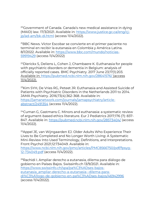<sup>20</sup>Government of Canada. Canada's new medical assistance in dying (MAID) law. 17/3/2021. Available in: [https://www.justice.gc.ca/eng/cj](https://www.justice.gc.ca/eng/cj-jp/ad-am/bk-di.html)[jp/ad-am/bk-di.html](https://www.justice.gc.ca/eng/cj-jp/ad-am/bk-di.html) (access 11/4/2022).

<sup>21</sup>BBC News. Víctor Escobar se convierte en el primer paciente no terminal en recibir la eutanasia en Colombia y América Latina. 8/1/2022. Available in: [https://www.bbc.com/mundo/noticias-](https://www.bbc.com/mundo/noticias-59919429)[59919429](https://www.bbc.com/mundo/noticias-59919429) (access 11/4/2022)

<sup>22</sup>Dierickx S, Deliens L, Cohen J, Chambaere K. Euthanasia for people with psychiatric disorders or dementia in Belgium: analysis of officially reported cases. BMC Psychiatry. 2017 June 23;17(1):203. Available in[: https://pubmed.ncbi.nlm.nih.gov/28641576/](https://pubmed.ncbi.nlm.nih.gov/28641576/) (access 11/4/2022).

<sup>23</sup>Kim SYH, De Vries RG, Peteet JR. Euthanasia and Assisted Suicide of Patients with Psychiatric Disorders in the Netherlands 2011 to 2014. JAMA Psychiatry. 2016;73(4):362-368. Available in: [https://jamanetwork.com/journals/jamapsychiatry/article](https://jamanetwork.com/journals/jamapsychiatry/article-abstract/2491354)[abstract/2491354](https://jamanetwork.com/journals/jamapsychiatry/article-abstract/2491354) (access 11/4/2022).

<sup>24</sup>Cuman G, Gastmans C. Minors and euthanasia: a systematic review of argument-based ethics literature. Eur J Pediatrics 2017;176 (7): 837- 847. Available in:<https://pubmed.ncbi.nlm.nih.gov/28573404/> (access 11/4/2022).

<sup>25</sup>Appel JE, van Wijngaarden EJ. Older Adults Who Experience Their Lives to Be Completed and No Longer Worth Living: A Systematic Mini-Review Into Used Terminology, Definitions, and Interpretations. Front Psychol 2021;12:734049. Available in:

[https://www.ncbi.nlm.nih.gov/pmc/articles/PMC8566750/pdf/fpsyg-](https://www.ncbi.nlm.nih.gov/pmc/articles/PMC8566750/pdf/fpsyg-12-734049.pdf)[12-734049.pdf](https://www.ncbi.nlm.nih.gov/pmc/articles/PMC8566750/pdf/fpsyg-12-734049.pdf) (access 11/4/2022).

<sup>26</sup>Rachidi I. Ampliar derecho a eutanasia, dilema para diálogo de gobierno en Países Bajos. Swissinfo.ch 13/9/2021. Available in: [https://www.swissinfo.ch/spa/pa%C3%ADses-bajos](https://www.swissinfo.ch/spa/pa%C3%ADses-bajos-eutanasia_ampliar-derecho-a-eutanasia--dilema-para-di%C3%A1logo-de-gobierno-en-pa%C3%ADses-bajos/46942996)[eutanasia\\_ampliar-derecho-a-eutanasia--dilema-para](https://www.swissinfo.ch/spa/pa%C3%ADses-bajos-eutanasia_ampliar-derecho-a-eutanasia--dilema-para-di%C3%A1logo-de-gobierno-en-pa%C3%ADses-bajos/46942996)[di%C3%A1logo-de-gobierno-en-pa%C3%ADses-bajos/46942996](https://www.swissinfo.ch/spa/pa%C3%ADses-bajos-eutanasia_ampliar-derecho-a-eutanasia--dilema-para-di%C3%A1logo-de-gobierno-en-pa%C3%ADses-bajos/46942996) (access 11/4/2022).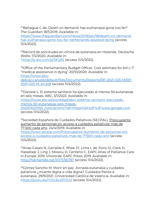<sup>27</sup>Bellaigue C de. Death on demand: has euthanasia gone too far? The Guardian 18/1/2019. Available in:

[https://www.theguardian.com/news/2019/jan/18/death-on-demand](https://www.theguardian.com/news/2019/jan/18/death-on-demand-has-euthanasia-gone-too-far-netherlands-assisted-dying)[has-euthanasia-gone-too-far-netherlands-assisted-dying](https://www.theguardian.com/news/2019/jan/18/death-on-demand-has-euthanasia-gone-too-far-netherlands-assisted-dying) (access 11/4/2022).

<sup>28</sup>Récord de solicitudes en clínica de eutanasia en Holanda. Deutsche Welle, 7/2/2020. Available in: <https://p.dw.com/p/3XQ92> (access 11/4/2022).

<sup>29</sup>Office of the Parliamentary Budget Officer. Cost estimate for bill c-7 "medical assistance in dying" 20/10/2020. Available in: [https://www.pbo](https://www.pbo-dpb.gc.ca/web/default/files/Documents/Reports/RP-2021-025-M/RP-2021-025-M_en.pdf)[dpb.gc.ca/web/default/files/Documents/Reports/RP-2021-025-M/RP-](https://www.pbo-dpb.gc.ca/web/default/files/Documents/Reports/RP-2021-025-M/RP-2021-025-M_en.pdf)

[2021-025-M\\_en.pdf](https://www.pbo-dpb.gc.ca/web/default/files/Documents/Reports/RP-2021-025-M/RP-2021-025-M_en.pdf) (access 11/4/2022).

<sup>30</sup>Daniele L. El sistema sanitario ha ejecutado al menos 50 eutanasias en seis meses. ABC, 3/1/2022. Available in:

[https://www.abc.es/sociedad/abci-sistema-sanitario-ejecutado](https://www.abc.es/sociedad/abci-sistema-sanitario-ejecutado-menos-50-eutanasias-seis-meses-202201021950_noticia.html?ref=https%3A%2F%2Fwww.google.com)[menos-50-eutanasias-seis-meses-](https://www.abc.es/sociedad/abci-sistema-sanitario-ejecutado-menos-50-eutanasias-seis-meses-202201021950_noticia.html?ref=https%3A%2F%2Fwww.google.com)

[202201021950\\_noticia.html?ref=https%3A%2F%2Fwww.google.com](https://www.abc.es/sociedad/abci-sistema-sanitario-ejecutado-menos-50-eutanasias-seis-meses-202201021950_noticia.html?ref=https%3A%2F%2Fwww.google.com) (access 11/4/2022).

<sup>31</sup>Sociedad Española de Cuidados Paliativos (SECPAL). Preocupante aumento de personas sin acceso a cuidados paliativos: más de 77.500 cada año. 24/4/2019. Available in:

[https://www.secpal.com/Preocupante-aumento-de-personas-sin](https://www.secpal.com/Preocupante-aumento-de-personas-sin-acceso-a-cuidados-paliativos-mas-de-77500-cada-ano)[access-a-cuidados-paliativos-mas-de-77500-cada-ano](https://www.secpal.com/Preocupante-aumento-de-personas-sin-acceso-a-cuidados-paliativos-mas-de-77500-cada-ano) (access 11/4/2022).

<sup>32</sup>Arias-Casais N, Garralda E, Rhee JY, Lima L de, Pons JJ, Clark D, Hasselaar J, Ling J, Mosoiu D, Centeno C. EAPC Atlas of Palliative Care in Europe 2019. Vilvoorde: EAPC Press; 2019. Available in: <http://hdl.handle.net/10171/56787> (access 11/4/2022).

<sup>33</sup>Gómez Sancho M. Morir en paz. Jornada eutanasia y cuidados paliativos ¿muerte digna o vida digna? Cuidados frente a eutanasia. 29/9/2021. Universidad Católica de Valencia. Available in: <https://youtu.be/iY2U3wZPOU0> (access 11/4/2022).